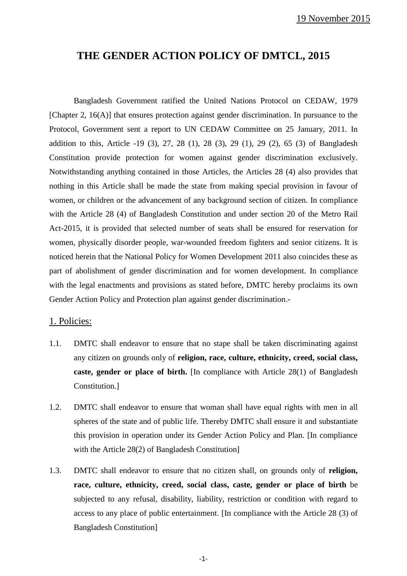# **THE GENDER ACTION POLICY OF DMTCL, 2015**

Bangladesh Government ratified the United Nations Protocol on CEDAW, 1979 [Chapter 2, 16(A)] that ensures protection against gender discrimination. In pursuance to the Protocol, Government sent a report to UN CEDAW Committee on 25 January, 2011. In addition to this, Article -19 (3), 27, 28 (1), 28 (3), 29 (1), 29 (2), 65 (3) of Bangladesh Constitution provide protection for women against gender discrimination exclusively. Notwithstanding anything contained in those Articles, the Articles 28 (4) also provides that nothing in this Article shall be made the state from making special provision in favour of women, or children or the advancement of any background section of citizen. In compliance with the Article 28 (4) of Bangladesh Constitution and under section 20 of the Metro Rail Act-2015, it is provided that selected number of seats shall be ensured for reservation for women, physically disorder people, war-wounded freedom fighters and senior citizens. It is noticed herein that the National Policy for Women Development 2011 also coincides these as part of abolishment of gender discrimination and for women development. In compliance with the legal enactments and provisions as stated before, DMTC hereby proclaims its own Gender Action Policy and Protection plan against gender discrimination.-

# 1. Policies:

- 1.1. DMTC shall endeavor to ensure that no stape shall be taken discriminating against any citizen on grounds only of **religion, race, culture, ethnicity, creed, social class, caste, gender or place of birth.** [In compliance with Article 28(1) of Bangladesh Constitution.]
- 1.2. DMTC shall endeavor to ensure that woman shall have equal rights with men in all spheres of the state and of public life. Thereby DMTC shall ensure it and substantiate this provision in operation under its Gender Action Policy and Plan. [In compliance with the Article 28(2) of Bangladesh Constitution]
- 1.3. DMTC shall endeavor to ensure that no citizen shall, on grounds only of **religion, race, culture, ethnicity, creed, social class, caste, gender or place of birth** be subjected to any refusal, disability, liability, restriction or condition with regard to access to any place of public entertainment. [In compliance with the Article 28 (3) of Bangladesh Constitution]

-1-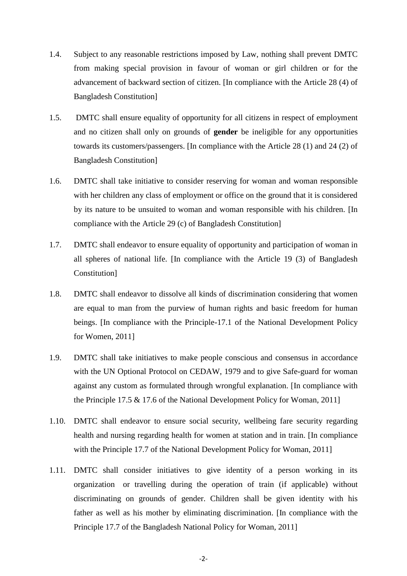- 1.4. Subject to any reasonable restrictions imposed by Law, nothing shall prevent DMTC from making special provision in favour of woman or girl children or for the advancement of backward section of citizen. [In compliance with the Article 28 (4) of Bangladesh Constitution]
- 1.5. DMTC shall ensure equality of opportunity for all citizens in respect of employment and no citizen shall only on grounds of **gender** be ineligible for any opportunities towards its customers/passengers. [In compliance with the Article 28 (1) and 24 (2) of Bangladesh Constitution]
- 1.6. DMTC shall take initiative to consider reserving for woman and woman responsible with her children any class of employment or office on the ground that it is considered by its nature to be unsuited to woman and woman responsible with his children. [In compliance with the Article 29 (c) of Bangladesh Constitution]
- 1.7. DMTC shall endeavor to ensure equality of opportunity and participation of woman in all spheres of national life. [In compliance with the Article 19 (3) of Bangladesh Constitution]
- 1.8. DMTC shall endeavor to dissolve all kinds of discrimination considering that women are equal to man from the purview of human rights and basic freedom for human beings. [In compliance with the Principle-17.1 of the National Development Policy for Women, 2011]
- 1.9. DMTC shall take initiatives to make people conscious and consensus in accordance with the UN Optional Protocol on CEDAW, 1979 and to give Safe-guard for woman against any custom as formulated through wrongful explanation. [In compliance with the Principle 17.5 & 17.6 of the National Development Policy for Woman, 2011]
- 1.10. DMTC shall endeavor to ensure social security, wellbeing fare security regarding health and nursing regarding health for women at station and in train. [In compliance with the Principle 17.7 of the National Development Policy for Woman, 2011]
- 1.11. DMTC shall consider initiatives to give identity of a person working in its organization or travelling during the operation of train (if applicable) without discriminating on grounds of gender. Children shall be given identity with his father as well as his mother by eliminating discrimination. [In compliance with the Principle 17.7 of the Bangladesh National Policy for Woman, 2011]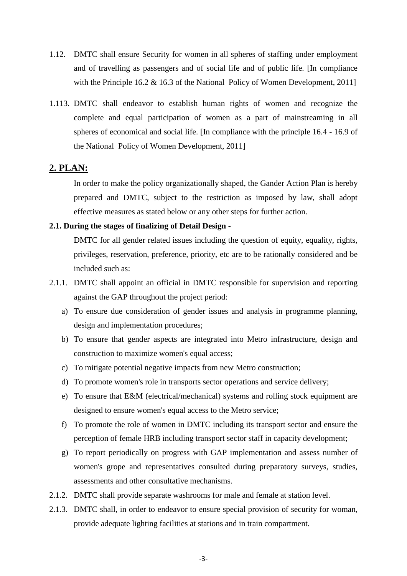- 1.12. DMTC shall ensure Security for women in all spheres of staffing under employment and of travelling as passengers and of social life and of public life. [In compliance with the Principle 16.2 & 16.3 of the National Policy of Women Development, 2011]
- 1.113. DMTC shall endeavor to establish human rights of women and recognize the complete and equal participation of women as a part of mainstreaming in all spheres of economical and social life. [In compliance with the principle 16.4 - 16.9 of the National Policy of Women Development, 2011]

# **2. PLAN:**

In order to make the policy organizationally shaped, the Gander Action Plan is hereby prepared and DMTC, subject to the restriction as imposed by law, shall adopt effective measures as stated below or any other steps for further action.

#### **2.1. During the stages of finalizing of Detail Design -**

DMTC for all gender related issues including the question of equity, equality, rights, privileges, reservation, preference, priority, etc are to be rationally considered and be included such as:

- 2.1.1. DMTC shall appoint an official in DMTC responsible for supervision and reporting against the GAP throughout the project period:
	- a) To ensure due consideration of gender issues and analysis in programme planning, design and implementation procedures;
	- b) To ensure that gender aspects are integrated into Metro infrastructure, design and construction to maximize women's equal access;
	- c) To mitigate potential negative impacts from new Metro construction;
	- d) To promote women's role in transports sector operations and service delivery;
	- e) To ensure that E&M (electrical/mechanical) systems and rolling stock equipment are designed to ensure women's equal access to the Metro service;
	- f) To promote the role of women in DMTC including its transport sector and ensure the perception of female HRB including transport sector staff in capacity development;
	- g) To report periodically on progress with GAP implementation and assess number of women's grope and representatives consulted during preparatory surveys, studies, assessments and other consultative mechanisms.
- 2.1.2. DMTC shall provide separate washrooms for male and female at station level.
- 2.1.3. DMTC shall, in order to endeavor to ensure special provision of security for woman, provide adequate lighting facilities at stations and in train compartment.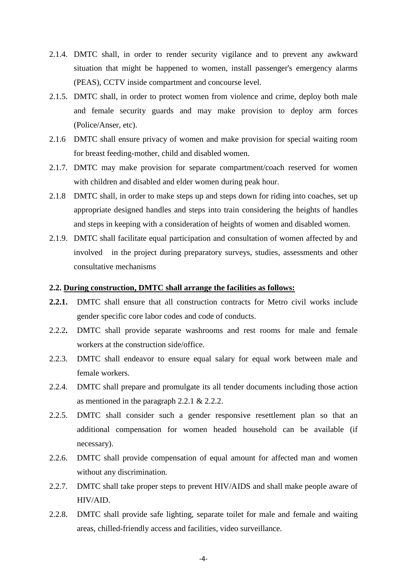- 2.1.4. DMTC shall, in order to render security vigilance and to prevent any awkward situation that might be happened to women, install passenger's emergency alarms (PEAS), CCTV inside compartment and concourse level.
- 2.1.5. DMTC shall, in order to protect women from violence and crime, deploy both male and female security guards and may make provision to deploy arm forces (Police/Anser, etc).
- 2.1.6 DMTC shall ensure privacy of women and make provision for special waiting room for breast feeding-mother, child and disabled women.
- 2.1.7. DMTC may make provision for separate compartment/coach reserved for women with children and disabled and elder women during peak hour.
- 2.1.8 DMTC shall, in order to make steps up and steps down for riding into coaches, set up appropriate designed handles and steps into train considering the heights of handles and steps in keeping with a consideration of heights of women and disabled women.
- 2.1.9. DMTC shall facilitate equal participation and consultation of women affected by and involved in the project during preparatory surveys, studies, assessments and other consultative mechanisms

### **2.2. During construction, DMTC shall arrange the facilities as follows:**

- **2.2.1.** DMTC shall ensure that all construction contracts for Metro civil works include gender specific core labor codes and code of conducts.
- 2.2.2**.** DMTC shall provide separate washrooms and rest rooms for male and female workers at the construction side/office.
- 2.2.3. DMTC shall endeavor to ensure equal salary for equal work between male and female workers.
- 2.2.4. DMTC shall prepare and promulgate its all tender documents including those action as mentioned in the paragraph 2.2.1 & 2.2.2.
- 2.2.5. DMTC shall consider such a gender responsive resettlement plan so that an additional compensation for women headed household can be available (if necessary).
- 2.2.6. DMTC shall provide compensation of equal amount for affected man and women without any discrimination.
- 2.2.7. DMTC shall take proper steps to prevent HIV/AIDS and shall make people aware of HIV/AID.
- 2.2.8. DMTC shall provide safe lighting, separate toilet for male and female and waiting areas, chilled-friendly access and facilities, video surveillance.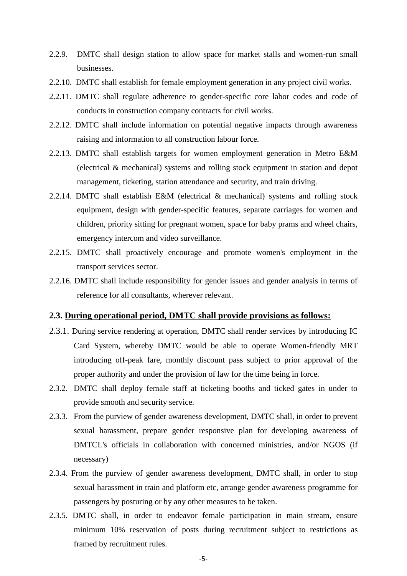- 2.2.9. DMTC shall design station to allow space for market stalls and women-run small businesses.
- 2.2.10. DMTC shall establish for female employment generation in any project civil works.
- 2.2.11. DMTC shall regulate adherence to gender-specific core labor codes and code of conducts in construction company contracts for civil works.
- 2.2.12. DMTC shall include information on potential negative impacts through awareness raising and information to all construction labour force.
- 2.2.13. DMTC shall establish targets for women employment generation in Metro E&M (electrical & mechanical) systems and rolling stock equipment in station and depot management, ticketing, station attendance and security, and train driving.
- 2.2.14. DMTC shall establish E&M (electrical & mechanical) systems and rolling stock equipment, design with gender-specific features, separate carriages for women and children, priority sitting for pregnant women, space for baby prams and wheel chairs, emergency intercom and video surveillance.
- 2.2.15. DMTC shall proactively encourage and promote women's employment in the transport services sector.
- 2.2.16. DMTC shall include responsibility for gender issues and gender analysis in terms of reference for all consultants, wherever relevant.

# **2.3. During operational period, DMTC shall provide provisions as follows:**

- 2.3.1. During service rendering at operation, DMTC shall render services by introducing IC Card System, whereby DMTC would be able to operate Women-friendly MRT introducing off-peak fare, monthly discount pass subject to prior approval of the proper authority and under the provision of law for the time being in force.
- 2.3.2. DMTC shall deploy female staff at ticketing booths and ticked gates in under to provide smooth and security service.
- 2.3.3. From the purview of gender awareness development, DMTC shall, in order to prevent sexual harassment, prepare gender responsive plan for developing awareness of DMTCL's officials in collaboration with concerned ministries, and/or NGOS (if necessary)
- 2.3.4. From the purview of gender awareness development, DMTC shall, in order to stop sexual harassment in train and platform etc, arrange gender awareness programme for passengers by posturing or by any other measures to be taken.
- 2.3.5. DMTC shall, in order to endeavor female participation in main stream, ensure minimum 10% reservation of posts during recruitment subject to restrictions as framed by recruitment rules.